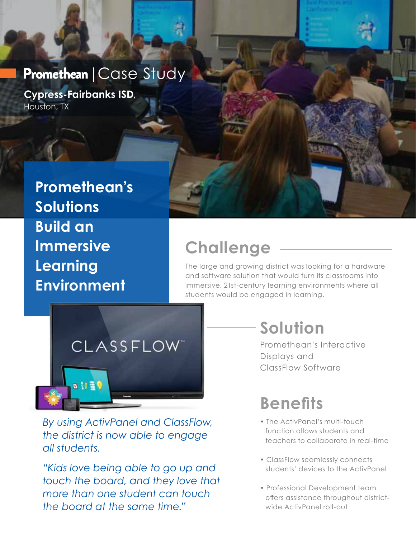#### Promethean | Case Study

**Cypress-Fairbanks ISD**, Houston, TX

> **Promethean's Solutions Build an Immersive Learning Environment**

### **Challenge**

The large and growing district was looking for a hardware and software solution that would turn its classrooms into immersive, 21st-century learning environments where all students would be engaged in learning.



*By using ActivPanel and ClassFlow, the district is now able to engage all students.* 

*"Kids love being able to go up and touch the board, and they love that more than one student can touch the board at the same time."*

# **Solution**

Promethean's Interactive Displays and ClassFlow Software

# **Benefits**

- The ActivPanel's multi-touch function allows students and teachers to collaborate in real-time
- ClassFlow seamlessly connects students' devices to the ActivPanel
- Professional Development team offers assistance throughout districtwide ActivPanel roll-out